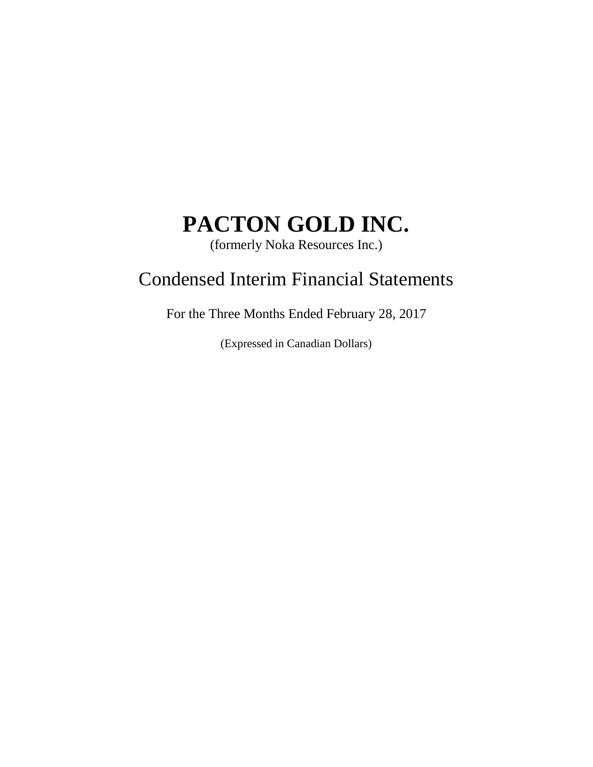(formerly Noka Resources Inc.)

## Condensed Interim Financial Statements

For the Three Months Ended February 28, 2017

(Expressed in Canadian Dollars)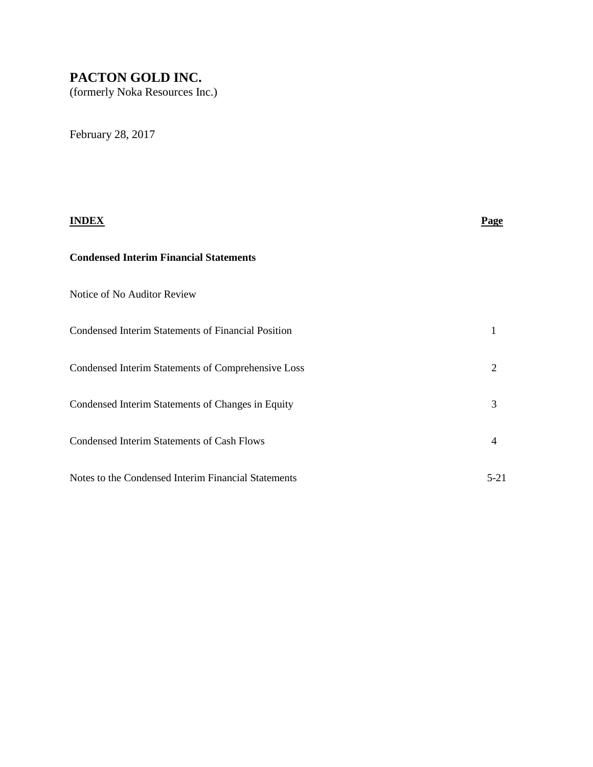(formerly Noka Resources Inc.)

February 28, 2017

# **INDEX Page Condensed Interim Financial Statements** Notice of No Auditor Review Condensed Interim Statements of Financial Position 1 Condensed Interim Statements of Comprehensive Loss 2 Condensed Interim Statements of Changes in Equity 3 Condensed Interim Statements of Cash Flows 4 Notes to the Condensed Interim Financial Statements 5-21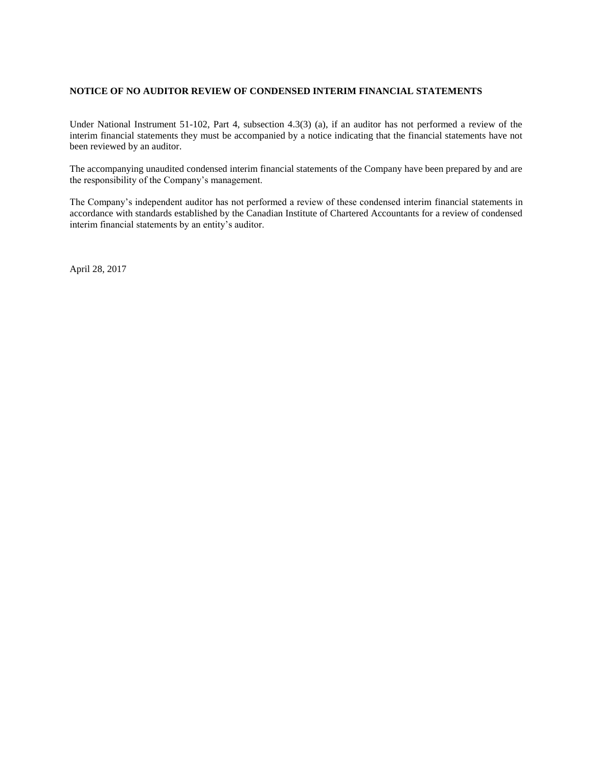#### **NOTICE OF NO AUDITOR REVIEW OF CONDENSED INTERIM FINANCIAL STATEMENTS**

Under National Instrument 51-102, Part 4, subsection 4.3(3) (a), if an auditor has not performed a review of the interim financial statements they must be accompanied by a notice indicating that the financial statements have not been reviewed by an auditor.

The accompanying unaudited condensed interim financial statements of the Company have been prepared by and are the responsibility of the Company's management.

The Company's independent auditor has not performed a review of these condensed interim financial statements in accordance with standards established by the Canadian Institute of Chartered Accountants for a review of condensed interim financial statements by an entity's auditor.

April 28, 2017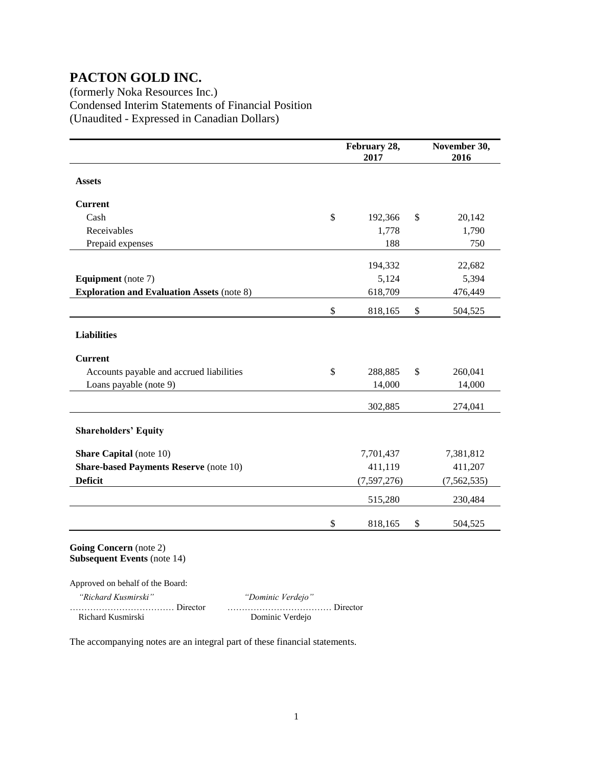(formerly Noka Resources Inc.) Condensed Interim Statements of Financial Position (Unaudited - Expressed in Canadian Dollars)

|                                                              |                   | February 28,<br>2017 |      | November 30,<br>2016 |
|--------------------------------------------------------------|-------------------|----------------------|------|----------------------|
| <b>Assets</b>                                                |                   |                      |      |                      |
| <b>Current</b>                                               |                   |                      |      |                      |
| Cash                                                         | \$                | 192,366              | \$   | 20,142               |
| Receivables                                                  |                   | 1,778                |      | 1,790                |
| Prepaid expenses                                             |                   | 188                  |      | 750                  |
|                                                              |                   | 194,332              |      | 22,682               |
| <b>Equipment</b> (note 7)                                    |                   | 5,124                |      | 5,394                |
| <b>Exploration and Evaluation Assets (note 8)</b>            |                   | 618,709              |      | 476,449              |
|                                                              | \$                | 818,165              | \$   | 504,525              |
| <b>Liabilities</b>                                           |                   |                      |      |                      |
| <b>Current</b>                                               |                   |                      |      |                      |
| Accounts payable and accrued liabilities                     | \$                | 288,885              | \$   | 260,041              |
| Loans payable (note 9)                                       |                   | 14,000               |      | 14,000               |
|                                                              |                   | 302,885              |      | 274,041              |
| <b>Shareholders' Equity</b>                                  |                   |                      |      |                      |
| <b>Share Capital</b> (note 10)                               |                   | 7,701,437            |      | 7,381,812            |
| <b>Share-based Payments Reserve (note 10)</b>                |                   | 411,119              |      | 411,207              |
| <b>Deficit</b>                                               |                   | (7,597,276)          |      | (7, 562, 535)        |
|                                                              |                   | 515,280              |      | 230,484              |
|                                                              | \$                | 818,165              | $\$$ | 504,525              |
| Going Concern (note 2)<br><b>Subsequent Events (note 14)</b> |                   |                      |      |                      |
| Approved on behalf of the Board:                             |                   |                      |      |                      |
| "Richard Kusmirski"                                          | "Dominic Verdejo" |                      |      |                      |
| Richard Kusmirski                                            | Dominic Verdejo   |                      |      |                      |

The accompanying notes are an integral part of these financial statements.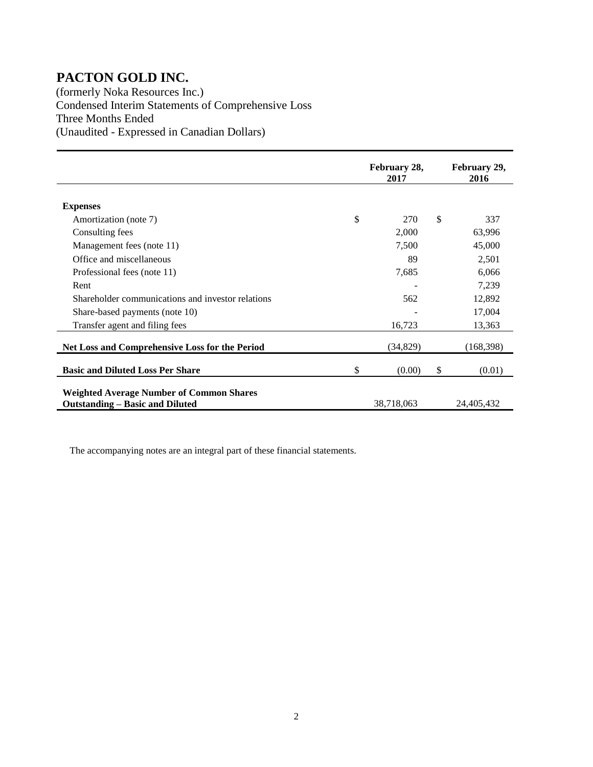(formerly Noka Resources Inc.) Condensed Interim Statements of Comprehensive Loss Three Months Ended (Unaudited - Expressed in Canadian Dollars)

|                                                                                           | February 28,<br>2017 | February 29,<br>2016 |
|-------------------------------------------------------------------------------------------|----------------------|----------------------|
|                                                                                           |                      |                      |
| <b>Expenses</b>                                                                           |                      |                      |
| Amortization (note 7)                                                                     | \$<br>270            | \$<br>337            |
| Consulting fees                                                                           | 2,000                | 63,996               |
| Management fees (note 11)                                                                 | 7,500                | 45,000               |
| Office and miscellaneous                                                                  | 89                   | 2,501                |
| Professional fees (note 11)                                                               | 7,685                | 6,066                |
| Rent                                                                                      |                      | 7,239                |
| Shareholder communications and investor relations                                         | 562                  | 12,892               |
| Share-based payments (note 10)                                                            |                      | 17,004               |
| Transfer agent and filing fees                                                            | 16,723               | 13,363               |
| <b>Net Loss and Comprehensive Loss for the Period</b>                                     | (34, 829)            | (168, 398)           |
| <b>Basic and Diluted Loss Per Share</b>                                                   | \$<br>(0.00)         | \$<br>(0.01)         |
| <b>Weighted Average Number of Common Shares</b><br><b>Outstanding – Basic and Diluted</b> | 38,718,063           | 24,405,432           |

The accompanying notes are an integral part of these financial statements.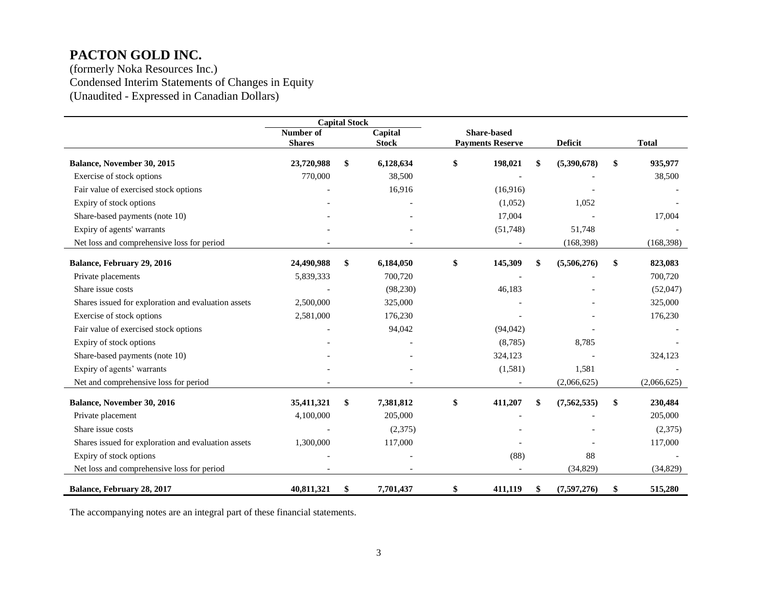(formerly Noka Resources Inc.) Condensed Interim Statements of Changes in Equity (Unaudited - Expressed in Canadian Dollars)

|                                                     | <b>Capital Stock</b> |    |              |                         |    |                |               |
|-----------------------------------------------------|----------------------|----|--------------|-------------------------|----|----------------|---------------|
|                                                     | Number of            |    | Capital      | <b>Share-based</b>      |    |                |               |
|                                                     | <b>Shares</b>        |    | <b>Stock</b> | <b>Payments Reserve</b> |    | <b>Deficit</b> | <b>Total</b>  |
| Balance, November 30, 2015                          | 23,720,988           | \$ | 6,128,634    | \$<br>198,021           |    | (5,390,678)    | \$<br>935,977 |
| Exercise of stock options                           | 770,000              |    | 38,500       |                         |    |                | 38,500        |
| Fair value of exercised stock options               |                      |    | 16,916       | (16,916)                |    |                |               |
| Expiry of stock options                             |                      |    |              | (1,052)                 |    | 1,052          |               |
| Share-based payments (note 10)                      |                      |    |              | 17,004                  |    |                | 17,004        |
| Expiry of agents' warrants                          |                      |    |              | (51,748)                |    | 51,748         |               |
| Net loss and comprehensive loss for period          |                      |    |              |                         |    | (168, 398)     | (168, 398)    |
| Balance, February 29, 2016                          | 24,490,988           | \$ | 6,184,050    | \$<br>145,309           |    | (5,506,276)    | \$<br>823,083 |
| Private placements                                  | 5,839,333            |    | 700,720      |                         |    |                | 700,720       |
| Share issue costs                                   |                      |    | (98, 230)    | 46,183                  |    |                | (52,047)      |
| Shares issued for exploration and evaluation assets | 2,500,000            |    | 325,000      |                         |    |                | 325,000       |
| Exercise of stock options                           | 2,581,000            |    | 176,230      |                         |    |                | 176,230       |
| Fair value of exercised stock options               |                      |    | 94,042       | (94, 042)               |    |                |               |
| Expiry of stock options                             |                      |    |              | (8,785)                 |    | 8,785          |               |
| Share-based payments (note 10)                      |                      |    |              | 324,123                 |    |                | 324,123       |
| Expiry of agents' warrants                          |                      |    |              | (1,581)                 |    | 1,581          |               |
| Net and comprehensive loss for period               |                      |    |              |                         |    | (2,066,625)    | (2,066,625)   |
| Balance, November 30, 2016                          | 35,411,321           | \$ | 7,381,812    | \$<br>411,207           | \$ | (7, 562, 535)  | \$<br>230,484 |
| Private placement                                   | 4,100,000            |    | 205,000      |                         |    |                | 205,000       |
| Share issue costs                                   |                      |    | (2,375)      |                         |    |                | (2,375)       |
| Shares issued for exploration and evaluation assets | 1,300,000            |    | 117,000      |                         |    |                | 117,000       |
| Expiry of stock options                             |                      |    |              | (88)                    |    | 88             |               |
| Net loss and comprehensive loss for period          |                      |    |              |                         |    | (34, 829)      | (34, 829)     |
| Balance, February 28, 2017                          | 40,811,321           | \$ | 7,701,437    | \$<br>411,119           | S  | (7,597,276)    | \$<br>515,280 |

The accompanying notes are an integral part of these financial statements.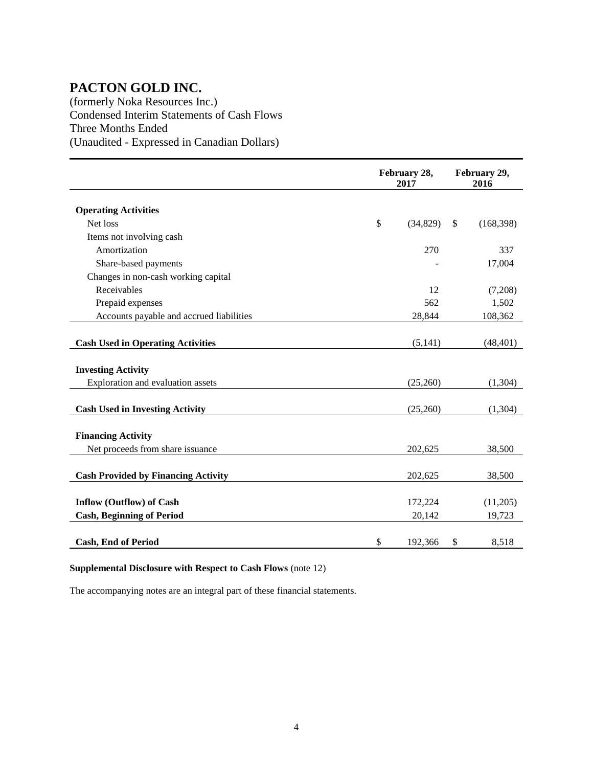(formerly Noka Resources Inc.) Condensed Interim Statements of Cash Flows Three Months Ended (Unaudited - Expressed in Canadian Dollars)

|                                            |               | February 28,<br>2017 | February 29,<br>2016 |
|--------------------------------------------|---------------|----------------------|----------------------|
| <b>Operating Activities</b>                |               |                      |                      |
| Net loss                                   | $\mathsf{\$}$ | (34, 829)            | \$<br>(168, 398)     |
| Items not involving cash                   |               |                      |                      |
| Amortization                               |               | 270                  | 337                  |
| Share-based payments                       |               |                      | 17,004               |
| Changes in non-cash working capital        |               |                      |                      |
| Receivables                                |               | 12                   | (7,208)              |
| Prepaid expenses                           |               | 562                  | 1,502                |
| Accounts payable and accrued liabilities   |               | 28,844               | 108,362              |
|                                            |               |                      |                      |
| <b>Cash Used in Operating Activities</b>   |               | (5, 141)             | (48, 401)            |
|                                            |               |                      |                      |
| <b>Investing Activity</b>                  |               |                      |                      |
| Exploration and evaluation assets          |               | (25,260)             | (1,304)              |
|                                            |               |                      |                      |
| <b>Cash Used in Investing Activity</b>     |               | (25,260)             | (1,304)              |
| <b>Financing Activity</b>                  |               |                      |                      |
| Net proceeds from share issuance           |               | 202,625              | 38,500               |
|                                            |               |                      |                      |
| <b>Cash Provided by Financing Activity</b> |               | 202,625              | 38,500               |
|                                            |               |                      |                      |
| <b>Inflow (Outflow) of Cash</b>            |               | 172,224              | (11,205)             |
| <b>Cash, Beginning of Period</b>           |               | 20,142               | 19,723               |
|                                            |               |                      |                      |
| <b>Cash, End of Period</b>                 | $\mathsf{\$}$ | 192,366              | \$<br>8,518          |

#### **Supplemental Disclosure with Respect to Cash Flows** (note 12)

The accompanying notes are an integral part of these financial statements.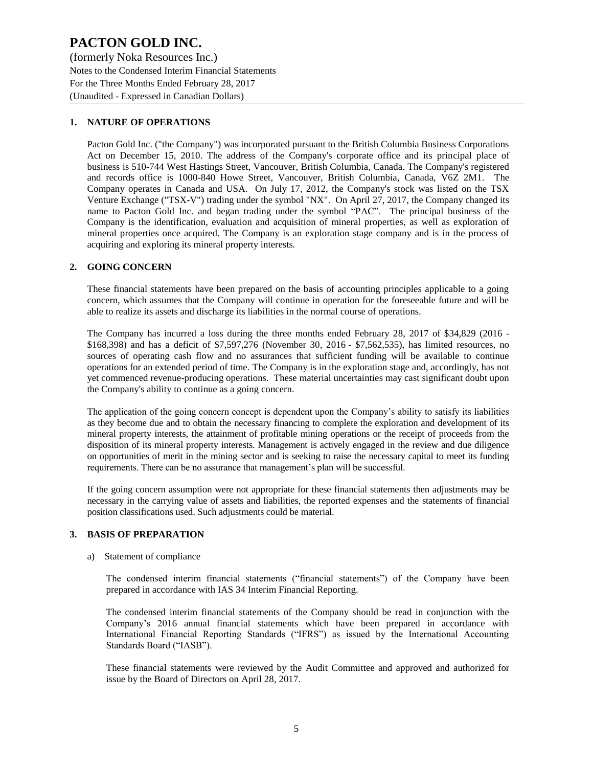(formerly Noka Resources Inc.) Notes to the Condensed Interim Financial Statements For the Three Months Ended February 28, 2017 (Unaudited - Expressed in Canadian Dollars)

#### **1. NATURE OF OPERATIONS**

Pacton Gold Inc. ("the Company") was incorporated pursuant to the British Columbia Business Corporations Act on December 15, 2010. The address of the Company's corporate office and its principal place of business is 510-744 West Hastings Street, Vancouver, British Columbia, Canada. The Company's registered and records office is 1000-840 Howe Street, Vancouver, British Columbia, Canada, V6Z 2M1. The Company operates in Canada and USA. On July 17, 2012, the Company's stock was listed on the TSX Venture Exchange ("TSX-V") trading under the symbol "NX". On April 27, 2017, the Company changed its name to Pacton Gold Inc. and began trading under the symbol "PAC". The principal business of the Company is the identification, evaluation and acquisition of mineral properties, as well as exploration of mineral properties once acquired. The Company is an exploration stage company and is in the process of acquiring and exploring its mineral property interests.

#### **2. GOING CONCERN**

These financial statements have been prepared on the basis of accounting principles applicable to a going concern, which assumes that the Company will continue in operation for the foreseeable future and will be able to realize its assets and discharge its liabilities in the normal course of operations.

The Company has incurred a loss during the three months ended February 28, 2017 of \$34,829 (2016 - \$168,398) and has a deficit of \$7,597,276 (November 30, 2016 - \$7,562,535), has limited resources, no sources of operating cash flow and no assurances that sufficient funding will be available to continue operations for an extended period of time. The Company is in the exploration stage and, accordingly, has not yet commenced revenue-producing operations. These material uncertainties may cast significant doubt upon the Company's ability to continue as a going concern.

The application of the going concern concept is dependent upon the Company's ability to satisfy its liabilities as they become due and to obtain the necessary financing to complete the exploration and development of its mineral property interests, the attainment of profitable mining operations or the receipt of proceeds from the disposition of its mineral property interests. Management is actively engaged in the review and due diligence on opportunities of merit in the mining sector and is seeking to raise the necessary capital to meet its funding requirements. There can be no assurance that management's plan will be successful.

If the going concern assumption were not appropriate for these financial statements then adjustments may be necessary in the carrying value of assets and liabilities, the reported expenses and the statements of financial position classifications used. Such adjustments could be material.

#### **3. BASIS OF PREPARATION**

#### a) Statement of compliance

The condensed interim financial statements ("financial statements") of the Company have been prepared in accordance with IAS 34 Interim Financial Reporting.

The condensed interim financial statements of the Company should be read in conjunction with the Company's 2016 annual financial statements which have been prepared in accordance with International Financial Reporting Standards ("IFRS") as issued by the International Accounting Standards Board ("IASB").

These financial statements were reviewed by the Audit Committee and approved and authorized for issue by the Board of Directors on April 28, 2017.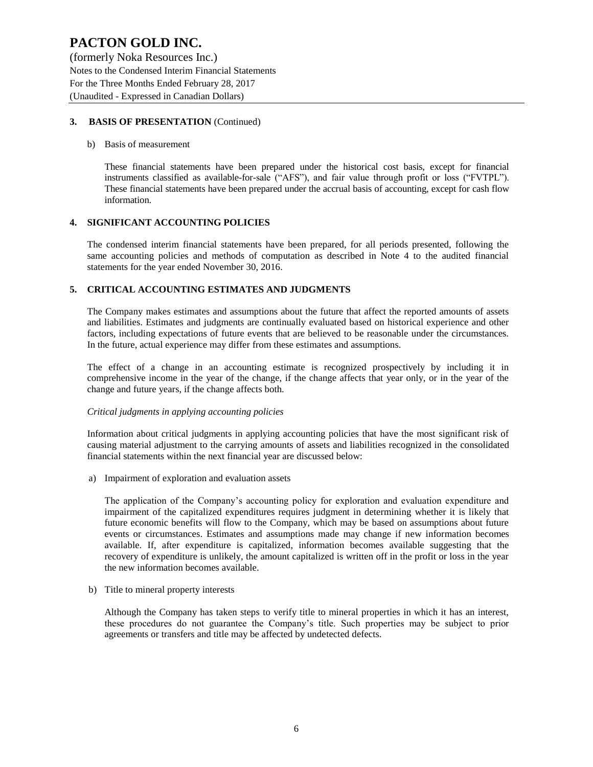(formerly Noka Resources Inc.) Notes to the Condensed Interim Financial Statements For the Three Months Ended February 28, 2017 (Unaudited - Expressed in Canadian Dollars)

#### **3. BASIS OF PRESENTATION** (Continued)

#### b) Basis of measurement

These financial statements have been prepared under the historical cost basis, except for financial instruments classified as available-for-sale ("AFS"), and fair value through profit or loss ("FVTPL"). These financial statements have been prepared under the accrual basis of accounting, except for cash flow information.

#### **4. SIGNIFICANT ACCOUNTING POLICIES**

The condensed interim financial statements have been prepared, for all periods presented, following the same accounting policies and methods of computation as described in Note 4 to the audited financial statements for the year ended November 30, 2016.

#### **5. CRITICAL ACCOUNTING ESTIMATES AND JUDGMENTS**

The Company makes estimates and assumptions about the future that affect the reported amounts of assets and liabilities. Estimates and judgments are continually evaluated based on historical experience and other factors, including expectations of future events that are believed to be reasonable under the circumstances. In the future, actual experience may differ from these estimates and assumptions.

The effect of a change in an accounting estimate is recognized prospectively by including it in comprehensive income in the year of the change, if the change affects that year only, or in the year of the change and future years, if the change affects both.

#### *Critical judgments in applying accounting policies*

Information about critical judgments in applying accounting policies that have the most significant risk of causing material adjustment to the carrying amounts of assets and liabilities recognized in the consolidated financial statements within the next financial year are discussed below:

a) Impairment of exploration and evaluation assets

The application of the Company's accounting policy for exploration and evaluation expenditure and impairment of the capitalized expenditures requires judgment in determining whether it is likely that future economic benefits will flow to the Company, which may be based on assumptions about future events or circumstances. Estimates and assumptions made may change if new information becomes available. If, after expenditure is capitalized, information becomes available suggesting that the recovery of expenditure is unlikely, the amount capitalized is written off in the profit or loss in the year the new information becomes available.

b) Title to mineral property interests

Although the Company has taken steps to verify title to mineral properties in which it has an interest, these procedures do not guarantee the Company's title. Such properties may be subject to prior agreements or transfers and title may be affected by undetected defects.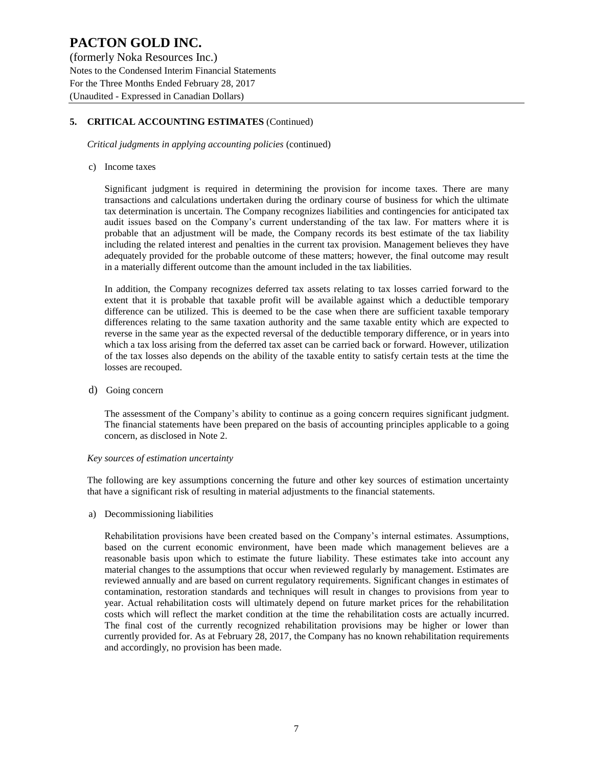(formerly Noka Resources Inc.) Notes to the Condensed Interim Financial Statements For the Three Months Ended February 28, 2017 (Unaudited - Expressed in Canadian Dollars)

#### **5. CRITICAL ACCOUNTING ESTIMATES** (Continued)

*Critical judgments in applying accounting policies* (continued)

#### c) Income taxes

Significant judgment is required in determining the provision for income taxes. There are many transactions and calculations undertaken during the ordinary course of business for which the ultimate tax determination is uncertain. The Company recognizes liabilities and contingencies for anticipated tax audit issues based on the Company's current understanding of the tax law. For matters where it is probable that an adjustment will be made, the Company records its best estimate of the tax liability including the related interest and penalties in the current tax provision. Management believes they have adequately provided for the probable outcome of these matters; however, the final outcome may result in a materially different outcome than the amount included in the tax liabilities.

In addition, the Company recognizes deferred tax assets relating to tax losses carried forward to the extent that it is probable that taxable profit will be available against which a deductible temporary difference can be utilized. This is deemed to be the case when there are sufficient taxable temporary differences relating to the same taxation authority and the same taxable entity which are expected to reverse in the same year as the expected reversal of the deductible temporary difference, or in years into which a tax loss arising from the deferred tax asset can be carried back or forward. However, utilization of the tax losses also depends on the ability of the taxable entity to satisfy certain tests at the time the losses are recouped.

d) Going concern

The assessment of the Company's ability to continue as a going concern requires significant judgment. The financial statements have been prepared on the basis of accounting principles applicable to a going concern, as disclosed in Note 2.

#### *Key sources of estimation uncertainty*

The following are key assumptions concerning the future and other key sources of estimation uncertainty that have a significant risk of resulting in material adjustments to the financial statements.

a) Decommissioning liabilities

Rehabilitation provisions have been created based on the Company's internal estimates. Assumptions, based on the current economic environment, have been made which management believes are a reasonable basis upon which to estimate the future liability. These estimates take into account any material changes to the assumptions that occur when reviewed regularly by management. Estimates are reviewed annually and are based on current regulatory requirements. Significant changes in estimates of contamination, restoration standards and techniques will result in changes to provisions from year to year. Actual rehabilitation costs will ultimately depend on future market prices for the rehabilitation costs which will reflect the market condition at the time the rehabilitation costs are actually incurred. The final cost of the currently recognized rehabilitation provisions may be higher or lower than currently provided for. As at February 28, 2017, the Company has no known rehabilitation requirements and accordingly, no provision has been made.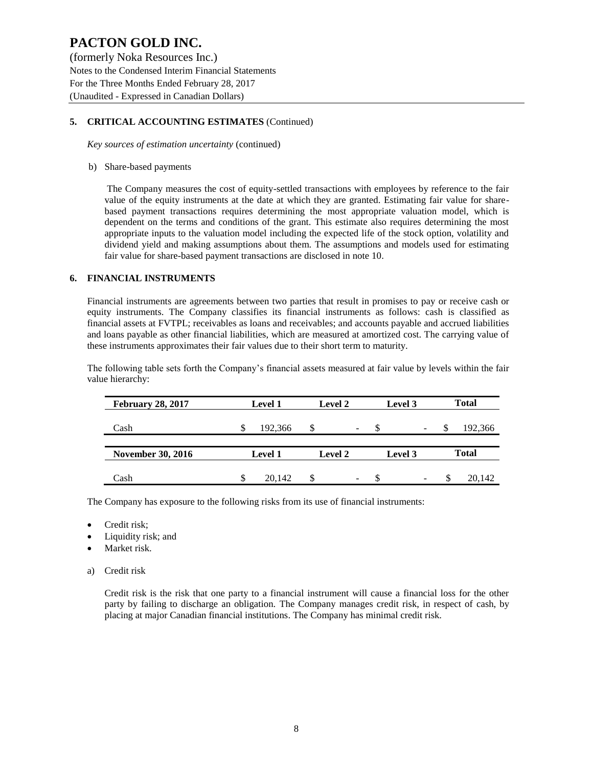(formerly Noka Resources Inc.) Notes to the Condensed Interim Financial Statements For the Three Months Ended February 28, 2017 (Unaudited - Expressed in Canadian Dollars)

#### **5. CRITICAL ACCOUNTING ESTIMATES** (Continued)

*Key sources of estimation uncertainty* (continued)

#### b) Share-based payments

The Company measures the cost of equity-settled transactions with employees by reference to the fair value of the equity instruments at the date at which they are granted. Estimating fair value for sharebased payment transactions requires determining the most appropriate valuation model, which is dependent on the terms and conditions of the grant. This estimate also requires determining the most appropriate inputs to the valuation model including the expected life of the stock option, volatility and dividend yield and making assumptions about them. The assumptions and models used for estimating fair value for share-based payment transactions are disclosed in note 10.

#### **6. FINANCIAL INSTRUMENTS**

Financial instruments are agreements between two parties that result in promises to pay or receive cash or equity instruments. The Company classifies its financial instruments as follows: cash is classified as financial assets at FVTPL; receivables as loans and receivables; and accounts payable and accrued liabilities and loans payable as other financial liabilities, which are measured at amortized cost. The carrying value of these instruments approximates their fair values due to their short term to maturity.

The following table sets forth the Company's financial assets measured at fair value by levels within the fair value hierarchy:

| <b>February 28, 2017</b> | <b>Level 1</b> | Level 2                           | Level 3            | <b>Total</b>   |
|--------------------------|----------------|-----------------------------------|--------------------|----------------|
| Cash                     | 192,366        | S<br>$\qquad \qquad \blacksquare$ | <sup>\$</sup><br>- | 192,366<br>\$. |
| <b>November 30, 2016</b> | <b>Level 1</b> | Level 2                           | Level 3            | <b>Total</b>   |
| Cash                     | 20.142         | -                                 | \$.<br>-           | 20.142<br>S    |

The Company has exposure to the following risks from its use of financial instruments:

- Credit risk;
- Liquidity risk; and
- Market risk.
- a) Credit risk

Credit risk is the risk that one party to a financial instrument will cause a financial loss for the other party by failing to discharge an obligation. The Company manages credit risk, in respect of cash, by placing at major Canadian financial institutions. The Company has minimal credit risk.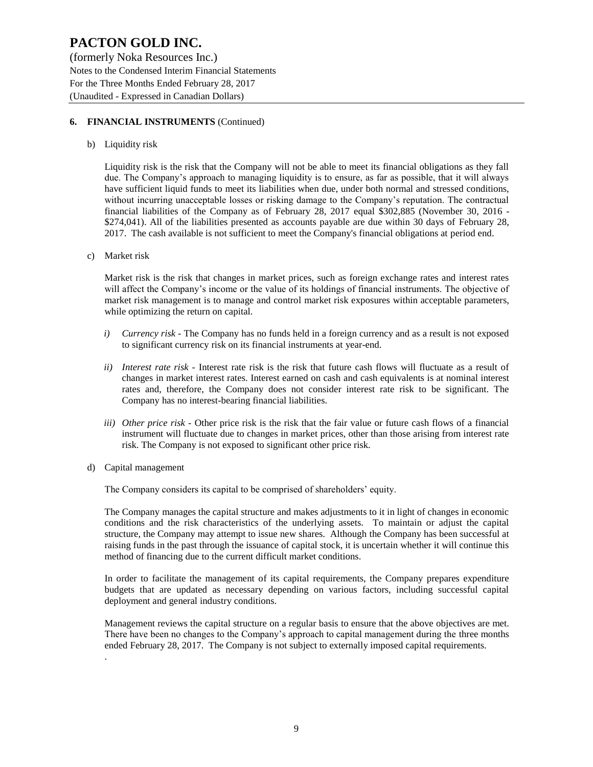(formerly Noka Resources Inc.) Notes to the Condensed Interim Financial Statements For the Three Months Ended February 28, 2017 (Unaudited - Expressed in Canadian Dollars)

#### **6. FINANCIAL INSTRUMENTS** (Continued)

b) Liquidity risk

Liquidity risk is the risk that the Company will not be able to meet its financial obligations as they fall due. The Company's approach to managing liquidity is to ensure, as far as possible, that it will always have sufficient liquid funds to meet its liabilities when due, under both normal and stressed conditions, without incurring unacceptable losses or risking damage to the Company's reputation. The contractual financial liabilities of the Company as of February 28, 2017 equal \$302,885 (November 30, 2016 - \$274,041). All of the liabilities presented as accounts payable are due within 30 days of February 28, 2017. The cash available is not sufficient to meet the Company's financial obligations at period end.

c) Market risk

Market risk is the risk that changes in market prices, such as foreign exchange rates and interest rates will affect the Company's income or the value of its holdings of financial instruments. The objective of market risk management is to manage and control market risk exposures within acceptable parameters, while optimizing the return on capital.

- *i) Currency risk* The Company has no funds held in a foreign currency and as a result is not exposed to significant currency risk on its financial instruments at year-end.
- *ii) Interest rate risk -* Interest rate risk is the risk that future cash flows will fluctuate as a result of changes in market interest rates. Interest earned on cash and cash equivalents is at nominal interest rates and, therefore, the Company does not consider interest rate risk to be significant. The Company has no interest-bearing financial liabilities.
- *iii) Other price risk -* Other price risk is the risk that the fair value or future cash flows of a financial instrument will fluctuate due to changes in market prices, other than those arising from interest rate risk. The Company is not exposed to significant other price risk.
- d) Capital management

.

The Company considers its capital to be comprised of shareholders' equity.

The Company manages the capital structure and makes adjustments to it in light of changes in economic conditions and the risk characteristics of the underlying assets. To maintain or adjust the capital structure, the Company may attempt to issue new shares. Although the Company has been successful at raising funds in the past through the issuance of capital stock, it is uncertain whether it will continue this method of financing due to the current difficult market conditions.

In order to facilitate the management of its capital requirements, the Company prepares expenditure budgets that are updated as necessary depending on various factors, including successful capital deployment and general industry conditions.

Management reviews the capital structure on a regular basis to ensure that the above objectives are met. There have been no changes to the Company's approach to capital management during the three months ended February 28, 2017. The Company is not subject to externally imposed capital requirements.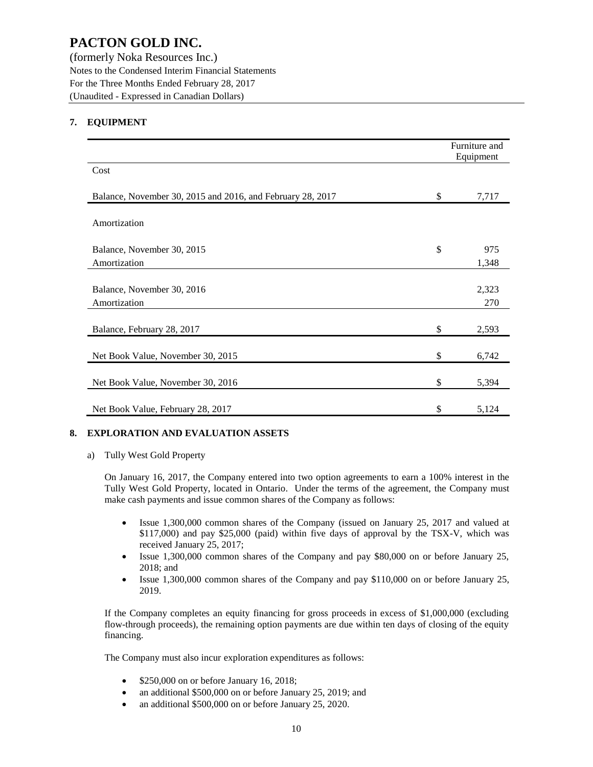(formerly Noka Resources Inc.) Notes to the Condensed Interim Financial Statements For the Three Months Ended February 28, 2017 (Unaudited - Expressed in Canadian Dollars)

#### **7. EQUIPMENT**

|                                                            | Furniture and<br>Equipment |
|------------------------------------------------------------|----------------------------|
| Cost                                                       |                            |
| Balance, November 30, 2015 and 2016, and February 28, 2017 | \$<br>7,717                |
| Amortization                                               |                            |
| Balance, November 30, 2015<br>Amortization                 | \$<br>975<br>1,348         |
|                                                            |                            |
| Balance, November 30, 2016                                 | 2,323                      |
| Amortization                                               | 270                        |
| Balance, February 28, 2017                                 | \$<br>2,593                |
| Net Book Value, November 30, 2015                          | \$<br>6,742                |
| Net Book Value, November 30, 2016                          | \$<br>5,394                |
| Net Book Value, February 28, 2017                          | \$<br>5,124                |

#### **8. EXPLORATION AND EVALUATION ASSETS**

a) Tully West Gold Property

On January 16, 2017, the Company entered into two option agreements to earn a 100% interest in the Tully West Gold Property, located in Ontario. Under the terms of the agreement, the Company must make cash payments and issue common shares of the Company as follows:

- Issue 1,300,000 common shares of the Company (issued on January 25, 2017 and valued at \$117,000) and pay \$25,000 (paid) within five days of approval by the TSX-V, which was received January 25, 2017;
- Issue 1,300,000 common shares of the Company and pay \$80,000 on or before January 25, 2018; and
- Issue 1,300,000 common shares of the Company and pay \$110,000 on or before January 25, 2019.

If the Company completes an equity financing for gross proceeds in excess of \$1,000,000 (excluding flow-through proceeds), the remaining option payments are due within ten days of closing of the equity financing.

The Company must also incur exploration expenditures as follows:

- \$250,000 on or before January 16, 2018;
- an additional \$500,000 on or before January 25, 2019; and
- an additional \$500,000 on or before January 25, 2020.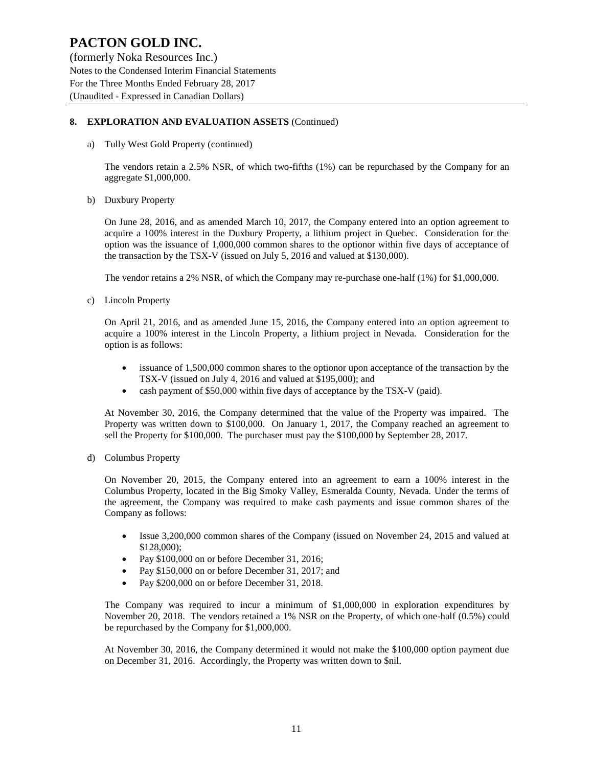(formerly Noka Resources Inc.) Notes to the Condensed Interim Financial Statements For the Three Months Ended February 28, 2017 (Unaudited - Expressed in Canadian Dollars)

#### **8. EXPLORATION AND EVALUATION ASSETS** (Continued)

a) Tully West Gold Property (continued)

The vendors retain a 2.5% NSR, of which two-fifths (1%) can be repurchased by the Company for an aggregate \$1,000,000.

b) Duxbury Property

On June 28, 2016, and as amended March 10, 2017, the Company entered into an option agreement to acquire a 100% interest in the Duxbury Property, a lithium project in Quebec. Consideration for the option was the issuance of 1,000,000 common shares to the optionor within five days of acceptance of the transaction by the TSX-V (issued on July 5, 2016 and valued at \$130,000).

The vendor retains a 2% NSR, of which the Company may re-purchase one-half (1%) for \$1,000,000.

c) Lincoln Property

On April 21, 2016, and as amended June 15, 2016, the Company entered into an option agreement to acquire a 100% interest in the Lincoln Property, a lithium project in Nevada. Consideration for the option is as follows:

- issuance of 1,500,000 common shares to the optionor upon acceptance of the transaction by the TSX-V (issued on July 4, 2016 and valued at \$195,000); and
- cash payment of \$50,000 within five days of acceptance by the TSX-V (paid).

At November 30, 2016, the Company determined that the value of the Property was impaired. The Property was written down to \$100,000. On January 1, 2017, the Company reached an agreement to sell the Property for \$100,000. The purchaser must pay the \$100,000 by September 28, 2017.

d) Columbus Property

On November 20, 2015, the Company entered into an agreement to earn a 100% interest in the Columbus Property, located in the Big Smoky Valley, Esmeralda County, Nevada. Under the terms of the agreement, the Company was required to make cash payments and issue common shares of the Company as follows:

- Issue 3,200,000 common shares of the Company (issued on November 24, 2015 and valued at \$128,000);
- Pay \$100,000 on or before December 31, 2016;
- Pay \$150,000 on or before December 31, 2017; and
- Pay \$200,000 on or before December 31, 2018.

The Company was required to incur a minimum of \$1,000,000 in exploration expenditures by November 20, 2018. The vendors retained a 1% NSR on the Property, of which one-half (0.5%) could be repurchased by the Company for \$1,000,000.

At November 30, 2016, the Company determined it would not make the \$100,000 option payment due on December 31, 2016. Accordingly, the Property was written down to \$nil.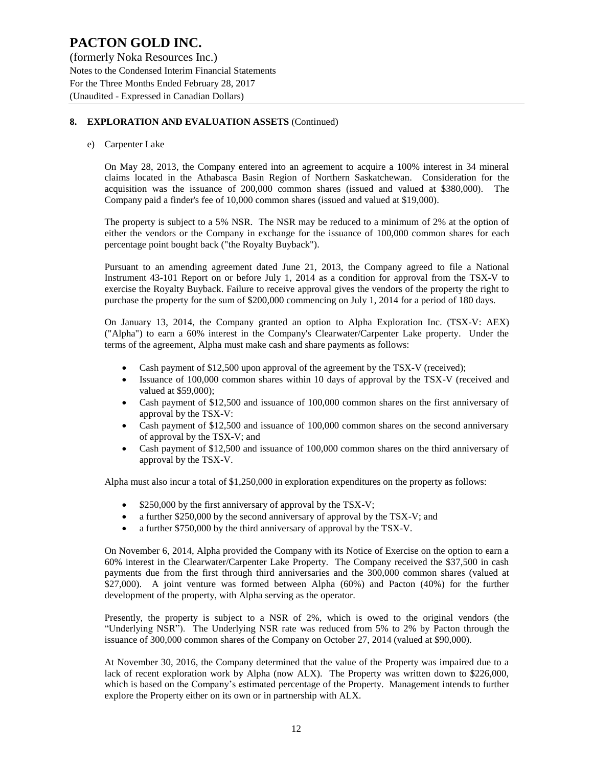(formerly Noka Resources Inc.) Notes to the Condensed Interim Financial Statements For the Three Months Ended February 28, 2017 (Unaudited - Expressed in Canadian Dollars)

#### **8. EXPLORATION AND EVALUATION ASSETS** (Continued)

e) Carpenter Lake

On May 28, 2013, the Company entered into an agreement to acquire a 100% interest in 34 mineral claims located in the Athabasca Basin Region of Northern Saskatchewan. Consideration for the acquisition was the issuance of 200,000 common shares (issued and valued at \$380,000). The Company paid a finder's fee of 10,000 common shares (issued and valued at \$19,000).

The property is subject to a 5% NSR. The NSR may be reduced to a minimum of 2% at the option of either the vendors or the Company in exchange for the issuance of 100,000 common shares for each percentage point bought back ("the Royalty Buyback").

Pursuant to an amending agreement dated June 21, 2013, the Company agreed to file a National Instrument 43-101 Report on or before July 1, 2014 as a condition for approval from the TSX-V to exercise the Royalty Buyback. Failure to receive approval gives the vendors of the property the right to purchase the property for the sum of \$200,000 commencing on July 1, 2014 for a period of 180 days.

On January 13, 2014, the Company granted an option to Alpha Exploration Inc. (TSX-V: AEX) ("Alpha") to earn a 60% interest in the Company's Clearwater/Carpenter Lake property. Under the terms of the agreement, Alpha must make cash and share payments as follows:

- Cash payment of \$12,500 upon approval of the agreement by the TSX-V (received);
- Issuance of 100,000 common shares within 10 days of approval by the TSX-V (received and valued at \$59,000);
- Cash payment of \$12,500 and issuance of 100,000 common shares on the first anniversary of approval by the TSX-V:
- Cash payment of \$12,500 and issuance of 100,000 common shares on the second anniversary of approval by the TSX-V; and
- Cash payment of \$12,500 and issuance of 100,000 common shares on the third anniversary of approval by the TSX-V.

Alpha must also incur a total of \$1,250,000 in exploration expenditures on the property as follows:

- \$250,000 by the first anniversary of approval by the TSX-V;
- a further \$250,000 by the second anniversary of approval by the TSX-V; and
- a further \$750,000 by the third anniversary of approval by the TSX-V.

On November 6, 2014, Alpha provided the Company with its Notice of Exercise on the option to earn a 60% interest in the Clearwater/Carpenter Lake Property. The Company received the \$37,500 in cash payments due from the first through third anniversaries and the 300,000 common shares (valued at \$27,000). A joint venture was formed between Alpha (60%) and Pacton (40%) for the further development of the property, with Alpha serving as the operator.

Presently, the property is subject to a NSR of 2%, which is owed to the original vendors (the "Underlying NSR"). The Underlying NSR rate was reduced from 5% to 2% by Pacton through the issuance of 300,000 common shares of the Company on October 27, 2014 (valued at \$90,000).

At November 30, 2016, the Company determined that the value of the Property was impaired due to a lack of recent exploration work by Alpha (now ALX). The Property was written down to \$226,000, which is based on the Company's estimated percentage of the Property. Management intends to further explore the Property either on its own or in partnership with ALX.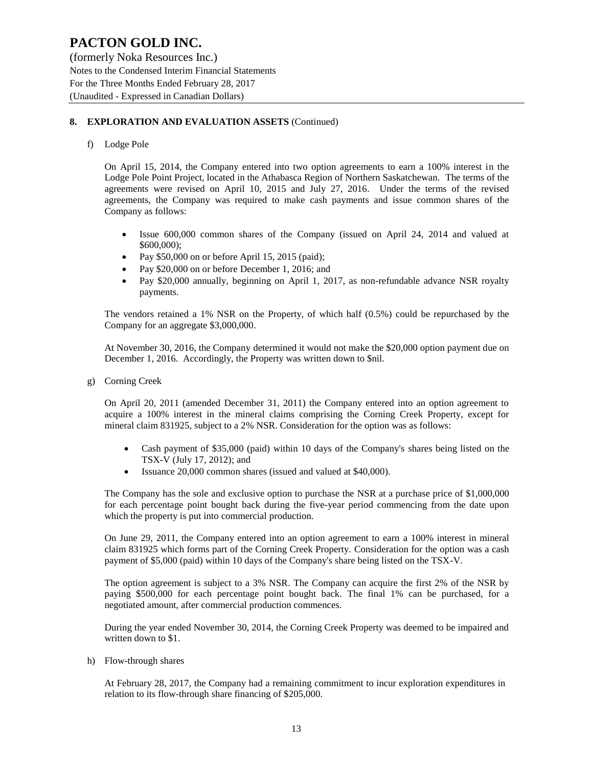(formerly Noka Resources Inc.) Notes to the Condensed Interim Financial Statements For the Three Months Ended February 28, 2017 (Unaudited - Expressed in Canadian Dollars)

#### **8. EXPLORATION AND EVALUATION ASSETS** (Continued)

f) Lodge Pole

On April 15, 2014, the Company entered into two option agreements to earn a 100% interest in the Lodge Pole Point Project, located in the Athabasca Region of Northern Saskatchewan. The terms of the agreements were revised on April 10, 2015 and July 27, 2016. Under the terms of the revised agreements, the Company was required to make cash payments and issue common shares of the Company as follows:

- Issue 600,000 common shares of the Company (issued on April 24, 2014 and valued at \$600,000);
- Pay \$50,000 on or before April 15, 2015 (paid);
- Pay \$20,000 on or before December 1, 2016; and
- Pay \$20,000 annually, beginning on April 1, 2017, as non-refundable advance NSR royalty payments.

The vendors retained a 1% NSR on the Property, of which half (0.5%) could be repurchased by the Company for an aggregate \$3,000,000.

At November 30, 2016, the Company determined it would not make the \$20,000 option payment due on December 1, 2016. Accordingly, the Property was written down to \$nil.

g) Corning Creek

On April 20, 2011 (amended December 31, 2011) the Company entered into an option agreement to acquire a 100% interest in the mineral claims comprising the Corning Creek Property, except for mineral claim 831925, subject to a 2% NSR. Consideration for the option was as follows:

- Cash payment of \$35,000 (paid) within 10 days of the Company's shares being listed on the TSX-V (July 17, 2012); and
- Issuance 20,000 common shares (issued and valued at \$40,000).

The Company has the sole and exclusive option to purchase the NSR at a purchase price of \$1,000,000 for each percentage point bought back during the five-year period commencing from the date upon which the property is put into commercial production.

On June 29, 2011, the Company entered into an option agreement to earn a 100% interest in mineral claim 831925 which forms part of the Corning Creek Property. Consideration for the option was a cash payment of \$5,000 (paid) within 10 days of the Company's share being listed on the TSX-V.

The option agreement is subject to a 3% NSR. The Company can acquire the first 2% of the NSR by paying \$500,000 for each percentage point bought back. The final 1% can be purchased, for a negotiated amount, after commercial production commences.

During the year ended November 30, 2014, the Corning Creek Property was deemed to be impaired and written down to \$1.

h) Flow-through shares

At February 28, 2017, the Company had a remaining commitment to incur exploration expenditures in relation to its flow-through share financing of \$205,000.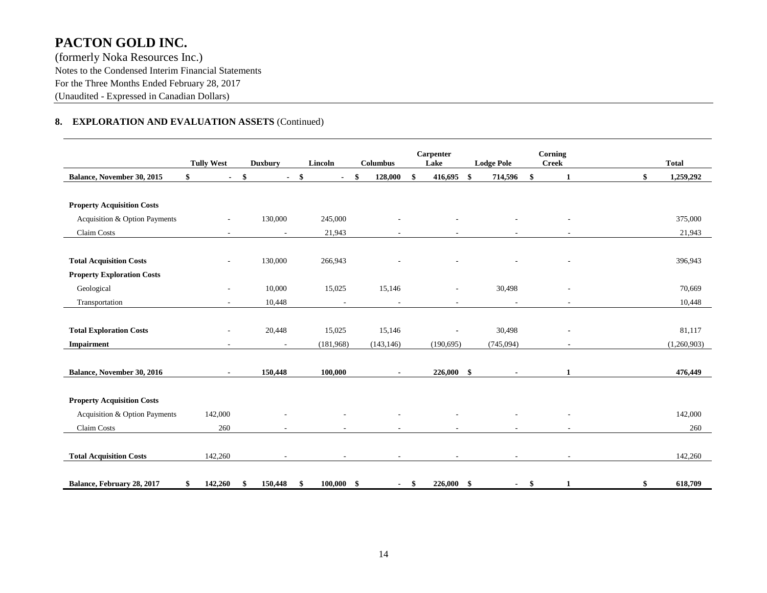(formerly Noka Resources Inc.) Notes to the Condensed Interim Financial Statements For the Three Months Ended February 28, 2017 (Unaudited - Expressed in Canadian Dollars)

#### **8. EXPLORATION AND EVALUATION ASSETS** (Continued)

|                                   | <b>Tully West</b>        | <b>Duxbury</b> | Lincoln                  | <b>Columbus</b>          | Carpenter<br>Lake        | <b>Lodge Pole</b> | Corning<br><b>Creek</b> | <b>Total</b>    |
|-----------------------------------|--------------------------|----------------|--------------------------|--------------------------|--------------------------|-------------------|-------------------------|-----------------|
| Balance, November 30, 2015        | \$<br>$\blacksquare$     | \$             | \$<br>$\blacksquare$     | \$<br>128,000            | 416,695                  | 714,596<br>\$     | \$<br>1                 | 1,259,292<br>\$ |
|                                   |                          |                |                          |                          |                          |                   |                         |                 |
| <b>Property Acquisition Costs</b> |                          |                |                          |                          |                          |                   |                         |                 |
| Acquisition & Option Payments     |                          | 130,000        | 245,000                  |                          |                          |                   |                         | 375,000         |
| Claim Costs                       | ٠                        | $\overline{a}$ | 21,943                   |                          |                          |                   |                         | 21,943          |
|                                   |                          |                |                          |                          |                          |                   |                         |                 |
| <b>Total Acquisition Costs</b>    |                          | 130,000        | 266,943                  |                          |                          |                   |                         | 396,943         |
| <b>Property Exploration Costs</b> |                          |                |                          |                          |                          |                   |                         |                 |
| Geological                        | ٠                        | 10,000         | 15,025                   | 15,146                   | $\overline{\phantom{a}}$ | 30,498            |                         | 70,669          |
| Transportation                    | ÷                        | 10,448         | $\overline{\phantom{a}}$ | $\sim$                   | $\sim$                   | $\sim$            | ٠                       | 10,448          |
|                                   |                          |                |                          |                          |                          |                   |                         |                 |
| <b>Total Exploration Costs</b>    | $\overline{\phantom{a}}$ | 20,448         | 15,025                   | 15,146                   | $\blacksquare$           | 30,498            |                         | 81,117          |
| Impairment                        | ٠                        | $\sim$         | (181,968)                | (143, 146)               | (190, 695)               | (745,094)         |                         | (1,260,903)     |
|                                   |                          |                |                          |                          |                          |                   |                         |                 |
| Balance, November 30, 2016        | $\sim$                   | 150,448        | 100,000                  |                          | $226,000$ \$             | $\sim$            | 1                       | 476,449         |
|                                   |                          |                |                          |                          |                          |                   |                         |                 |
| <b>Property Acquisition Costs</b> |                          |                |                          |                          |                          |                   |                         |                 |
| Acquisition & Option Payments     | 142,000                  |                |                          |                          |                          |                   |                         | 142,000         |
| Claim Costs                       | 260                      |                |                          |                          | $\sim$                   |                   |                         | 260             |
|                                   |                          |                |                          |                          |                          |                   |                         |                 |
| <b>Total Acquisition Costs</b>    | 142,260                  |                | $\overline{\phantom{a}}$ | $\overline{\phantom{a}}$ | $\sim$                   | $\sim$            | $\sim$                  | 142,260         |
|                                   |                          |                |                          |                          |                          |                   |                         |                 |
| Balance, February 28, 2017        | \$<br>142,260            | 150,448<br>\$  | $100,000$ \$<br>\$       | $\sim$                   | $226,000$ \$<br>-\$      |                   | $-$ \$<br>1             | 618,709<br>\$   |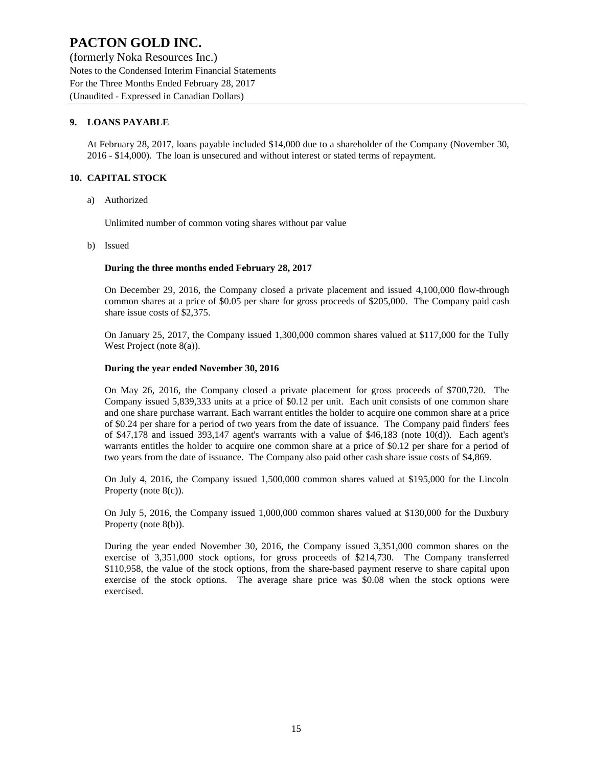(formerly Noka Resources Inc.) Notes to the Condensed Interim Financial Statements For the Three Months Ended February 28, 2017 (Unaudited - Expressed in Canadian Dollars)

#### **9. LOANS PAYABLE**

At February 28, 2017, loans payable included \$14,000 due to a shareholder of the Company (November 30, 2016 - \$14,000). The loan is unsecured and without interest or stated terms of repayment.

#### **10. CAPITAL STOCK**

a) Authorized

Unlimited number of common voting shares without par value

b) Issued

#### **During the three months ended February 28, 2017**

On December 29, 2016, the Company closed a private placement and issued 4,100,000 flow-through common shares at a price of \$0.05 per share for gross proceeds of \$205,000. The Company paid cash share issue costs of \$2,375.

On January 25, 2017, the Company issued 1,300,000 common shares valued at \$117,000 for the Tully West Project (note 8(a)).

#### **During the year ended November 30, 2016**

On May 26, 2016, the Company closed a private placement for gross proceeds of \$700,720. The Company issued 5,839,333 units at a price of \$0.12 per unit. Each unit consists of one common share and one share purchase warrant. Each warrant entitles the holder to acquire one common share at a price of \$0.24 per share for a period of two years from the date of issuance. The Company paid finders' fees of \$47,178 and issued 393,147 agent's warrants with a value of \$46,183 (note 10(d)). Each agent's warrants entitles the holder to acquire one common share at a price of \$0.12 per share for a period of two years from the date of issuance. The Company also paid other cash share issue costs of \$4,869.

On July 4, 2016, the Company issued 1,500,000 common shares valued at \$195,000 for the Lincoln Property (note 8(c)).

On July 5, 2016, the Company issued 1,000,000 common shares valued at \$130,000 for the Duxbury Property (note 8(b)).

During the year ended November 30, 2016, the Company issued 3,351,000 common shares on the exercise of 3,351,000 stock options, for gross proceeds of \$214,730. The Company transferred \$110,958, the value of the stock options, from the share-based payment reserve to share capital upon exercise of the stock options. The average share price was \$0.08 when the stock options were exercised.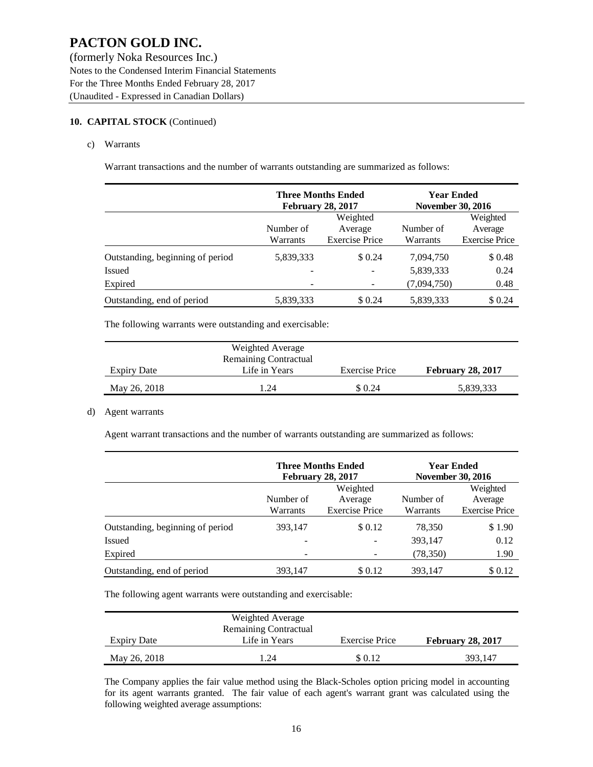(formerly Noka Resources Inc.) Notes to the Condensed Interim Financial Statements For the Three Months Ended February 28, 2017 (Unaudited - Expressed in Canadian Dollars)

#### **10. CAPITAL STOCK** (Continued)

c) Warrants

Warrant transactions and the number of warrants outstanding are summarized as follows:

|                                  |                       | <b>Three Months Ended</b><br><b>February 28, 2017</b> | <b>Year Ended</b><br><b>November 30, 2016</b> |                                              |
|----------------------------------|-----------------------|-------------------------------------------------------|-----------------------------------------------|----------------------------------------------|
|                                  | Number of<br>Warrants | Weighted<br>Average<br><b>Exercise Price</b>          | Number of<br>Warrants                         | Weighted<br>Average<br><b>Exercise Price</b> |
| Outstanding, beginning of period | 5,839,333             | \$0.24                                                | 7,094,750                                     | \$0.48                                       |
| <b>Issued</b>                    |                       |                                                       | 5,839,333                                     | 0.24                                         |
| Expired                          |                       |                                                       | (7,094,750)                                   | 0.48                                         |
| Outstanding, end of period       | 5,839,333             | \$ 0.24                                               | 5,839,333                                     | \$ 0.24                                      |

The following warrants were outstanding and exercisable:

|                    | Weighted Average             |                       |                          |
|--------------------|------------------------------|-----------------------|--------------------------|
|                    | <b>Remaining Contractual</b> |                       |                          |
| <b>Expiry Date</b> | Life in Years                | <b>Exercise Price</b> | <b>February 28, 2017</b> |
| May 26, 2018       | $\overline{24}$              | \$0.24                | 5,839,333                |

#### d) Agent warrants

Agent warrant transactions and the number of warrants outstanding are summarized as follows:

|                                  |                              | <b>Three Months Ended</b><br><b>February 28, 2017</b> | <b>Year Ended</b><br><b>November 30, 2016</b> |                       |  |
|----------------------------------|------------------------------|-------------------------------------------------------|-----------------------------------------------|-----------------------|--|
|                                  |                              | Weighted                                              |                                               | Weighted              |  |
|                                  | Number of                    | Average                                               | Number of                                     | Average               |  |
|                                  | Warrants                     | <b>Exercise Price</b>                                 | Warrants                                      | <b>Exercise Price</b> |  |
| Outstanding, beginning of period | 393,147                      | \$0.12                                                | 78.350                                        | \$1.90                |  |
| <b>Issued</b>                    | -                            |                                                       | 393,147                                       | 0.12                  |  |
| Expired                          | $\qquad \qquad \blacksquare$ |                                                       | (78, 350)                                     | 1.90                  |  |
| Outstanding, end of period       | 393.147                      | \$0.12                                                | 393,147                                       | \$0.12                |  |

The following agent warrants were outstanding and exercisable:

|                    | Weighted Average<br><b>Remaining Contractual</b> |                |                          |
|--------------------|--------------------------------------------------|----------------|--------------------------|
| <b>Expiry Date</b> | Life in Years                                    | Exercise Price | <b>February 28, 2017</b> |
| May 26, 2018       | 1.24                                             | \$0.12         | 393.147                  |

The Company applies the fair value method using the Black-Scholes option pricing model in accounting for its agent warrants granted. The fair value of each agent's warrant grant was calculated using the following weighted average assumptions: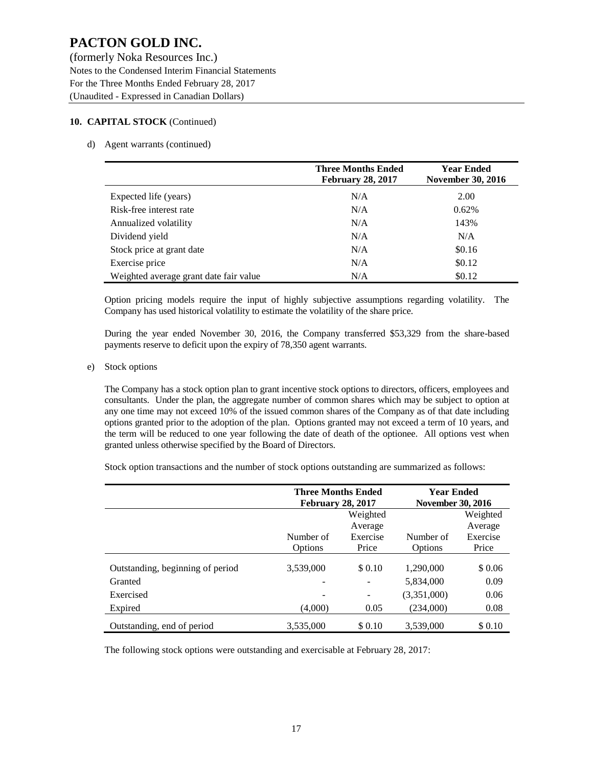#### **10. CAPITAL STOCK** (Continued)

#### d) Agent warrants (continued)

|                                        | <b>Three Months Ended</b><br><b>February 28, 2017</b> | <b>Year Ended</b><br><b>November 30, 2016</b> |
|----------------------------------------|-------------------------------------------------------|-----------------------------------------------|
| Expected life (years)                  | N/A                                                   | 2.00                                          |
| Risk-free interest rate                | N/A                                                   | 0.62%                                         |
| Annualized volatility                  | N/A                                                   | 143%                                          |
| Dividend yield                         | N/A                                                   | N/A                                           |
| Stock price at grant date              | N/A                                                   | \$0.16                                        |
| Exercise price                         | N/A                                                   | \$0.12                                        |
| Weighted average grant date fair value | N/A                                                   | \$0.12                                        |

Option pricing models require the input of highly subjective assumptions regarding volatility. The Company has used historical volatility to estimate the volatility of the share price.

During the year ended November 30, 2016, the Company transferred \$53,329 from the share-based payments reserve to deficit upon the expiry of 78,350 agent warrants.

#### e) Stock options

The Company has a stock option plan to grant incentive stock options to directors, officers, employees and consultants. Under the plan, the aggregate number of common shares which may be subject to option at any one time may not exceed 10% of the issued common shares of the Company as of that date including options granted prior to the adoption of the plan. Options granted may not exceed a term of 10 years, and the term will be reduced to one year following the date of death of the optionee. All options vest when granted unless otherwise specified by the Board of Directors.

Stock option transactions and the number of stock options outstanding are summarized as follows:

|                                  | <b>Three Months Ended</b><br><b>February 28, 2017</b> |          | <b>Year Ended</b><br><b>November 30, 2016</b> |          |  |
|----------------------------------|-------------------------------------------------------|----------|-----------------------------------------------|----------|--|
|                                  | Weighted                                              |          |                                               | Weighted |  |
|                                  |                                                       | Average  |                                               | Average  |  |
|                                  | Number of                                             | Exercise | Number of                                     | Exercise |  |
|                                  | Options                                               | Price    | Options                                       | Price    |  |
| Outstanding, beginning of period | 3,539,000                                             | \$0.10   | 1,290,000                                     | \$0.06   |  |
| Granted                          | ۰                                                     |          | 5,834,000                                     | 0.09     |  |
| Exercised                        | -                                                     | -        | (3,351,000)                                   | 0.06     |  |
| Expired                          | (4,000)                                               | 0.05     | (234,000)                                     | 0.08     |  |
| Outstanding, end of period       | 3.535,000                                             | \$0.10   | 3,539,000                                     | \$0.10   |  |

The following stock options were outstanding and exercisable at February 28, 2017: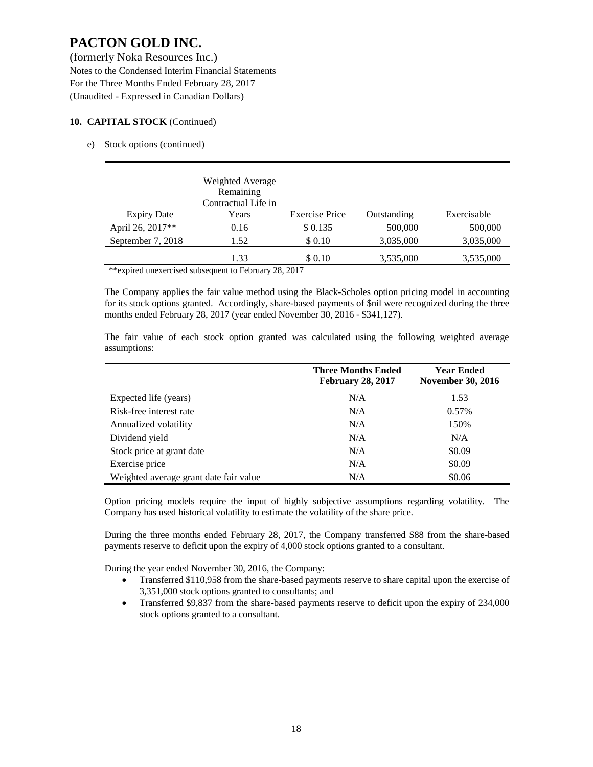#### **10. CAPITAL STOCK** (Continued)

e) Stock options (continued)

|                    | Weighted Average<br>Remaining<br>Contractual Life in |                       |             |             |
|--------------------|------------------------------------------------------|-----------------------|-------------|-------------|
| <b>Expiry Date</b> | Years                                                | <b>Exercise Price</b> | Outstanding | Exercisable |
| April 26, 2017**   | 0.16                                                 | \$0.135               | 500,000     | 500,000     |
| September 7, 2018  | 1.52                                                 | \$0.10                | 3,035,000   | 3,035,000   |
|                    | 1.33                                                 | \$0.10                | 3,535,000   | 3,535,000   |

\*\*expired unexercised subsequent to February 28, 2017

The Company applies the fair value method using the Black-Scholes option pricing model in accounting for its stock options granted. Accordingly, share-based payments of \$nil were recognized during the three months ended February 28, 2017 (year ended November 30, 2016 - \$341,127).

The fair value of each stock option granted was calculated using the following weighted average assumptions:

|                                        | <b>Three Months Ended</b><br><b>February 28, 2017</b> | <b>Year Ended</b><br><b>November 30, 2016</b> |
|----------------------------------------|-------------------------------------------------------|-----------------------------------------------|
| Expected life (years)                  | N/A                                                   | 1.53                                          |
| Risk-free interest rate                | N/A                                                   | 0.57%                                         |
| Annualized volatility                  | N/A                                                   | 150%                                          |
| Dividend yield                         | N/A                                                   | N/A                                           |
| Stock price at grant date              | N/A                                                   | \$0.09                                        |
| Exercise price                         | N/A                                                   | \$0.09                                        |
| Weighted average grant date fair value | N/A                                                   | \$0.06                                        |

Option pricing models require the input of highly subjective assumptions regarding volatility. The Company has used historical volatility to estimate the volatility of the share price.

During the three months ended February 28, 2017, the Company transferred \$88 from the share-based payments reserve to deficit upon the expiry of 4,000 stock options granted to a consultant.

During the year ended November 30, 2016, the Company:

- Transferred \$110,958 from the share-based payments reserve to share capital upon the exercise of 3,351,000 stock options granted to consultants; and
- Transferred \$9,837 from the share-based payments reserve to deficit upon the expiry of 234,000 stock options granted to a consultant.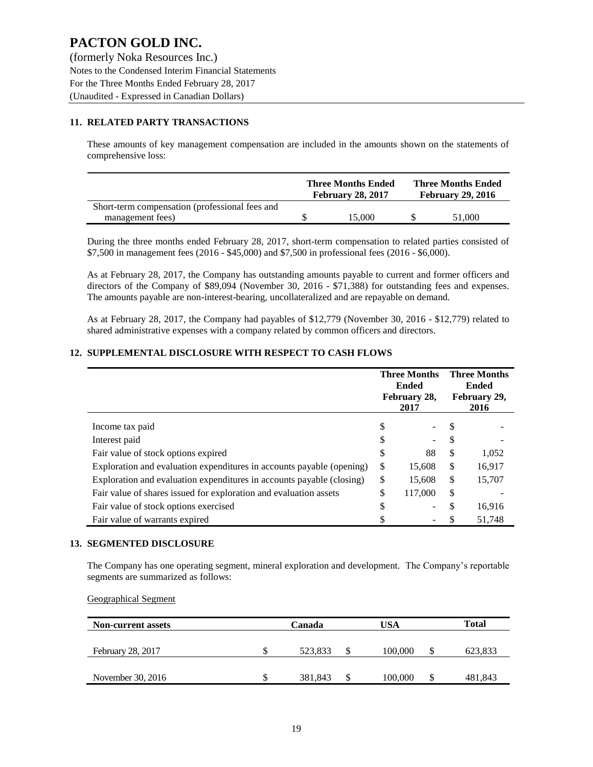(formerly Noka Resources Inc.) Notes to the Condensed Interim Financial Statements For the Three Months Ended February 28, 2017 (Unaudited - Expressed in Canadian Dollars)

#### **11. RELATED PARTY TRANSACTIONS**

These amounts of key management compensation are included in the amounts shown on the statements of comprehensive loss:

|                                                | <b>Three Months Ended</b><br><b>February 28, 2017</b> | <b>Three Months Ended</b><br><b>February 29, 2016</b> |        |  |
|------------------------------------------------|-------------------------------------------------------|-------------------------------------------------------|--------|--|
| Short-term compensation (professional fees and |                                                       |                                                       |        |  |
| management fees)                               | 15.000                                                |                                                       | 51,000 |  |

During the three months ended February 28, 2017, short-term compensation to related parties consisted of \$7,500 in management fees (2016 - \$45,000) and \$7,500 in professional fees (2016 - \$6,000).

As at February 28, 2017, the Company has outstanding amounts payable to current and former officers and directors of the Company of \$89,094 (November 30, 2016 - \$71,388) for outstanding fees and expenses. The amounts payable are non-interest-bearing, uncollateralized and are repayable on demand.

As at February 28, 2017, the Company had payables of \$12,779 (November 30, 2016 - \$12,779) related to shared administrative expenses with a company related by common officers and directors.

#### **12. SUPPLEMENTAL DISCLOSURE WITH RESPECT TO CASH FLOWS**

|                                                                       | <b>Three Months</b><br><b>Ended</b><br>February 28,<br>2017 |         | <b>Three Months</b><br><b>Ended</b><br>February 29,<br>2016 |        |
|-----------------------------------------------------------------------|-------------------------------------------------------------|---------|-------------------------------------------------------------|--------|
| Income tax paid                                                       | S                                                           |         |                                                             |        |
| Interest paid                                                         | S                                                           |         | S                                                           |        |
| Fair value of stock options expired                                   | \$                                                          | 88      | \$                                                          | 1,052  |
| Exploration and evaluation expenditures in accounts payable (opening) | \$                                                          | 15,608  | \$                                                          | 16,917 |
| Exploration and evaluation expenditures in accounts payable (closing) | \$                                                          | 15,608  | \$                                                          | 15,707 |
| Fair value of shares issued for exploration and evaluation assets     | \$                                                          | 117,000 | \$                                                          |        |
| Fair value of stock options exercised                                 | \$                                                          |         | S                                                           | 16,916 |
| Fair value of warrants expired                                        |                                                             |         |                                                             | 51,748 |

#### **13. SEGMENTED DISCLOSURE**

The Company has one operating segment, mineral exploration and development. The Company's reportable segments are summarized as follows:

Geographical Segment

| <b>Non-current assets</b> | Canada |         |   | USA     | Total |         |
|---------------------------|--------|---------|---|---------|-------|---------|
|                           |        |         |   |         |       |         |
| February 28, 2017         |        | 523.833 | S | 100.000 |       | 623,833 |
|                           |        |         |   |         |       |         |
| November 30, 2016         |        | 381.843 | S | 100,000 |       | 481,843 |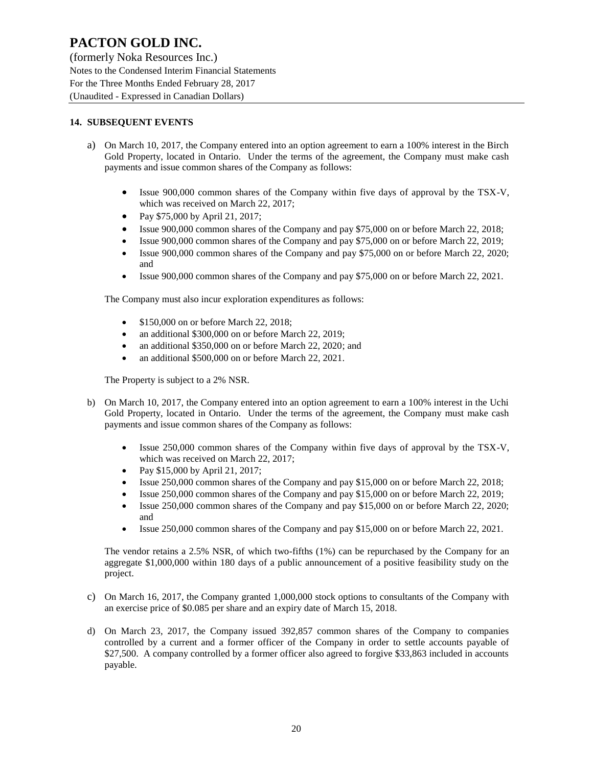(formerly Noka Resources Inc.) Notes to the Condensed Interim Financial Statements For the Three Months Ended February 28, 2017 (Unaudited - Expressed in Canadian Dollars)

#### **14. SUBSEQUENT EVENTS**

- a) On March 10, 2017, the Company entered into an option agreement to earn a 100% interest in the Birch Gold Property, located in Ontario. Under the terms of the agreement, the Company must make cash payments and issue common shares of the Company as follows:
	- Issue 900,000 common shares of the Company within five days of approval by the TSX-V, which was received on March 22, 2017;
	- Pay \$75,000 by April 21, 2017;
	- Issue 900,000 common shares of the Company and pay \$75,000 on or before March 22, 2018;
	- Issue 900,000 common shares of the Company and pay \$75,000 on or before March 22, 2019;
	- Issue 900,000 common shares of the Company and pay \$75,000 on or before March 22, 2020; and
	- Issue 900,000 common shares of the Company and pay \$75,000 on or before March 22, 2021.

The Company must also incur exploration expenditures as follows:

- \$150,000 on or before March 22, 2018:
- an additional \$300,000 on or before March 22, 2019;
- an additional \$350,000 on or before March 22, 2020; and
- an additional \$500,000 on or before March 22, 2021.

The Property is subject to a 2% NSR.

- b) On March 10, 2017, the Company entered into an option agreement to earn a 100% interest in the Uchi Gold Property, located in Ontario. Under the terms of the agreement, the Company must make cash payments and issue common shares of the Company as follows:
	- Issue 250,000 common shares of the Company within five days of approval by the TSX-V, which was received on March 22, 2017;
	- Pay \$15,000 by April 21, 2017;
	- Issue 250,000 common shares of the Company and pay \$15,000 on or before March 22, 2018;
	- Issue 250,000 common shares of the Company and pay \$15,000 on or before March 22, 2019;
	- Issue 250,000 common shares of the Company and pay \$15,000 on or before March 22, 2020; and
	- Issue 250,000 common shares of the Company and pay \$15,000 on or before March 22, 2021.

The vendor retains a 2.5% NSR, of which two-fifths (1%) can be repurchased by the Company for an aggregate \$1,000,000 within 180 days of a public announcement of a positive feasibility study on the project.

- c) On March 16, 2017, the Company granted 1,000,000 stock options to consultants of the Company with an exercise price of \$0.085 per share and an expiry date of March 15, 2018.
- d) On March 23, 2017, the Company issued 392,857 common shares of the Company to companies controlled by a current and a former officer of the Company in order to settle accounts payable of \$27,500. A company controlled by a former officer also agreed to forgive \$33,863 included in accounts payable.